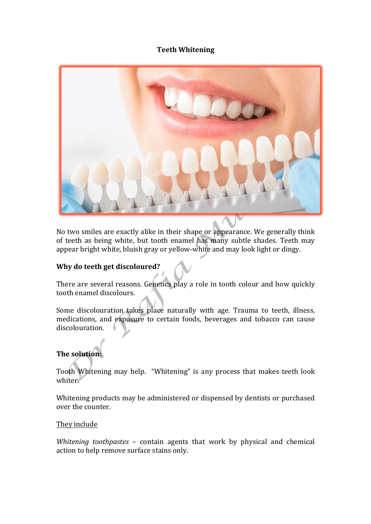## **Teeth Whitening**



No two smiles are exactly alike in their shape or appearance. We generally think of teeth as being white, but tooth enamel has many subtle shades. Teeth may appear bright white, bluish gray or yellow-white and may look light or dingy.

## **Why do teeth get discoloured?**

There are several reasons. Genetics play a role in tooth colour and how quickly tooth enamel discolours.

Some discolouration takes place naturally with age. Trauma to teeth, illness, medications, and exposure to certain foods, beverages and tobacco can cause discolouration.

# **The solution:**

Tooth Whitening may help. "Whitening" is any process that makes teeth look whiter.

Whitening products may be administered or dispensed by dentists or purchased over the counter.

## They include

Whitening toothpastes - contain agents that work by physical and chemical action to help remove surface stains only.